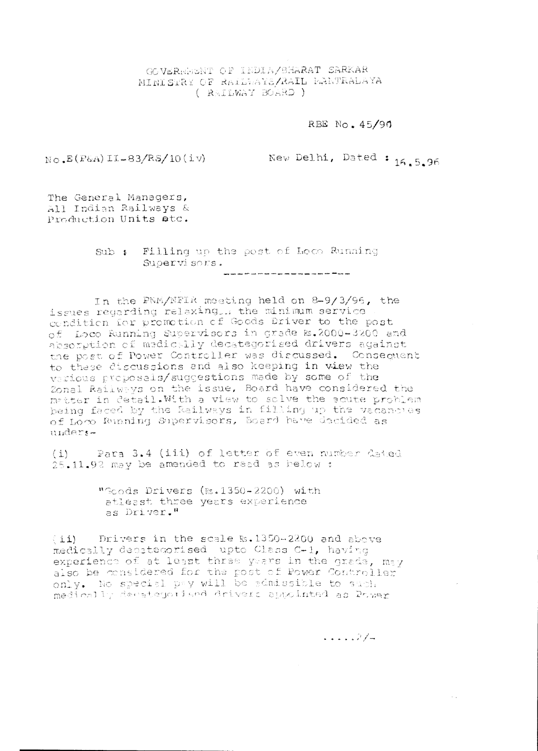GOVERNHENT OF INDIA/SHARAT SARKAR NINISTRY OF RALLWAYS/RAIL RANTRALAYA ( RAILWAY BOARD )

RBE No. 45/90

 $N_{\rm O}$ ,  $E(P6A)$  II-83/RS/10(iv)

New Delhi, Dated: 16.5.96

The General Managers, All Indian Railways & Production Units atc.

> Sub: Filling up the post of Loco Running Supervisors.

In the PNM/NFIR meeting held on 8-9/3/96, the issues regarding relaxing. the minimum service condition for promotion of Goods Driver to the post of Loco Running Supervisors in grade &.2000-3200 and absorption of medictlly decategorised drivers against the post of Power Controller was discussed. Consequent to these discussions and also keeping in view the various proposals/suggestions made by some of the Zonal Railweys on the issue, Board have considered the matter in detail. With a view to solve the squte problem being faced by the Railways in filling up the vacancles of Loco Running Supervisors, Board have decided as unders-

Para 3.4 (iii) of letter of even number dated  $(i)$ 25.11.92 may be amended to read as below:

> "Goods Drivers (Rs.1350-2200) with atleast three years experience as Driver."

(ii) Drivers in the scale  $k = 1350 - 2200$  and above medically decategorised upto Class C-1, having experience of at least three years in the grade, may also be considered for the post of Power Controller only. No special pay will be admissible to such medically decategorised drivers appointed as Power

 $\sim$   $\sim$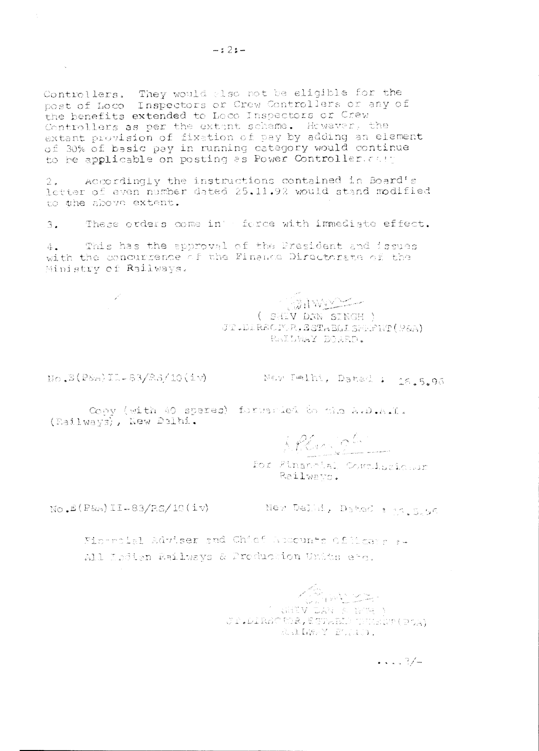Controllers. They would also not be eligible for the post of Loco Inspectors or Crew Controllers or any of the benefits extended to Loco Inspectors or Crew Controllers as per the extent scheme. However, the extant provision of fixation of pay by adding an element of 30% of basic pay in running category would continue to be applicable on posting as Power Controller. cast

Accordingly the instructions contained in Board's  $2.1$ letter of even number dated 25,11.92 would stand modified to the above extent.

These orders come in' force with immediate effect.  $3.$ 

This has the approval of the President and issues  $4.1$ with the concurrence of the Finance Directorate of the Ministry of Railways.

AWAY ( SHEV DAN SINGH )

JT.DIRSCF.R.SSTABLISHENT(P&A) RAILWAY BOARD.

 $no.8(Posa)11-83/83/10(iv)$ 

 $\sim 100$ 

New Pelhi, Datad : 16.5.96

Copy (with 40 spares) forwarded to the A.D.A.I. (Railways), New Delhi.

ARCOURSE

for Financial Committeichur Railwayn.

 $NO = E(P6A) IL - B3/P.S/10(1V)$ 

New Delmi, Dated : 14.5.56

Financial Adviser and Chief Appennts of Hoday aw All Indian Railways & Production Units etc.

> ( SHIV DAW A BUM )<br>( ACLAMO COR, ESPARIS SHARP ( POA) RAINEY BOAD.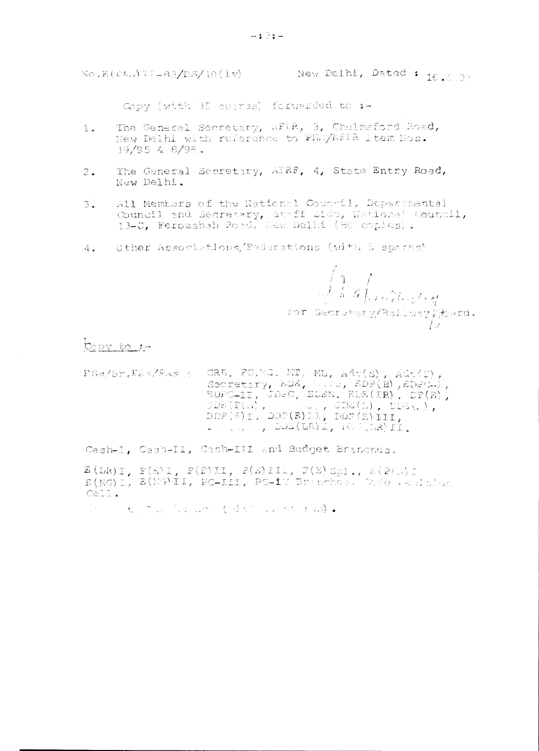Copy (with 35 sperss) forwarded to :-

- The General Secretary, WFIR, 3, Chelmsford Road,  $1.1$ New Delhi with reference to Phi/NfIR Item Nos. 19/95 & 8/96.
- The General Secretary, AIRF, 4, State Bntry Road,  $2.$ New Delhi.
- $3.$ All Members of the National Council, Departmental Council and Secretary, Staff Side, National Council, 13-C, Ferozshah Road, New Delhi (80 copies).
- Other Associations/Paderations (with 5 spares)  $4.1$

 $\sqrt{\frac{1}{\sqrt{N}}\int_{\mathbb{R}^d}\int_{\mathbb{R}^d}\int_{\mathbb{R}^d}\int_{\mathbb{R}^d}\int_{\mathbb{R}^d}\int_{\mathbb{R}^d}\int_{\mathbb{R}^d}\int_{\mathbb{R}^d}\int_{\mathbb{R}^d}\int_{\mathbb{R}^d}\int_{\mathbb{R}^d}\int_{\mathbb{R}^d}\int_{\mathbb{R}^d}\int_{\mathbb{R}^d}\int_{\mathbb{R}^d}\int_{\mathbb{R}^d}\int_{\mathbb{R}^d}\int_{\mathbb{R}^d}\int_{\mathbb{R}^$  $\pm$ 

Copy to 1-

 $\begin{array}{lllllll} \textsc{Ps}_S/\textsc{Sn},\textsc{F2} \Rightarrow \textsc{CRB},\textsc{FC},\textsc{MD},\textsc{MD},\textsc{Adv}(S),\textsc{Adv}(F),\textsc{G} \Rightarrow \textsc{S} \textsc{S} \textsc{S} \textsc{S} \textsc{S} \textsc{S} \textsc{D},\textsc{D} \textsc{D},\textsc{EDF(B)},\textsc{EDPCA1},\textsc{E} \textsc{D} \textsc{PCA1},\textsc{D} \textsc{D} \textsc{FCA1},\textsc{J} \textsc{D} \textsc{FCA2},\textsc{J} \text$  $\mathbb{L} \subset \mathbb{R}^n$  ,  $\mathbb{R}^n$  ,  $\mathbb{R}^n$  ,  $\mathbb{R}^n$  ,  $\mathbb{R}^n$  ,  $\mathbb{R}^n$  ,  $\mathbb{R}^n$ 

Cash-I, Cash-II, Cash-III and Budget Branches.

 $E(LR)$ I,  $F(E)$ I,  $F(E)$ II,  $F(E)$ III,  $F(E)$ Sp1.,  $E(P(E))$ I E(NG)I, E(NG)II, PC-III, PC-IV Branches, Code websiston Cell.

 $\mathbb{P}^{(n)} \times \mathbb{P}^{(n)} \times \mathbb{P}^{(n)} \times \mathbb{P}^{(n)} \times \mathbb{P}^{(n)} \times \mathbb{P}^{(n)} \times \mathbb{P}^{(n)} \times \mathbb{P}^{(n)} \times \mathbb{P}^{(n)} \times \mathbb{P}^{(n)} \times \mathbb{P}^{(n)} \times \mathbb{P}^{(n)} \times \mathbb{P}^{(n)} \times \mathbb{P}^{(n)} \times \mathbb{P}^{(n)} \times \mathbb{P}^{(n)} \times \mathbb{P}^{(n)} \times \mathbb{P}^{(n)} \times \mathbb{$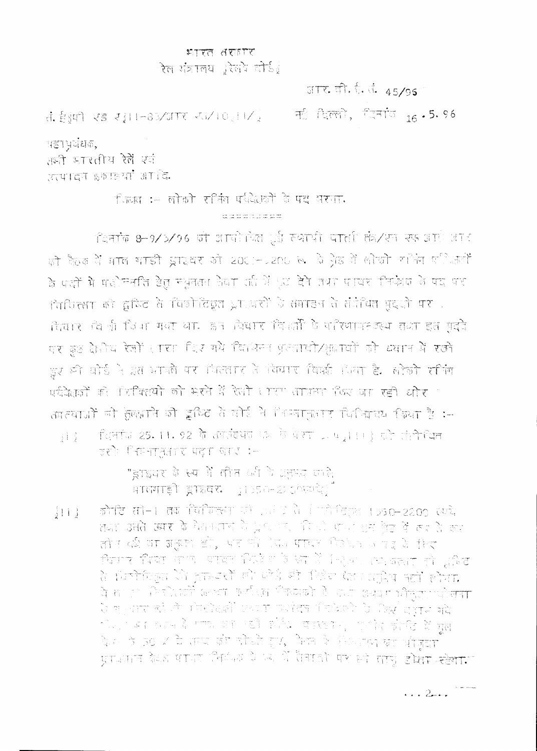## प्रताप्त ताराव ्<br>रेल गंत्रालय प्रेलपे दोई*ु*

 $\frac{1}{2}$  (1)  $\frac{1}{2}$  (1)  $\frac{1}{2}$  (1)  $\frac{1}{2}$  (1)  $\frac{1}{2}$  (1)  $\frac{1}{2}$  (1)  $\frac{1}{2}$  (1)  $\frac{1}{2}$ 

नई दिल्ली, दिनांज<sub>ाद</sub> - 5.96

महाभूषंधक,

हेंड्र किं प्रकार हिंस atura sarayi aria.

> िल्ला :- लोको रनिंग पवितकों के पद भरपा. en la monte de la velle de

दिनांके 8-9/3/96 को आयोगित (ई स्थायी पाती के/सा सफ आएं आर को कैठक में माल भाड़ी झाइवर जो 2011-1200 रू. ये ग्रेड में लोको राजिंग पालिसां के पक्षों में पड़ोमनति हेतु मधुनतम केवा रही थें ५० देने तथा पायर मिफेंक के पद पर ीचरित्समा की द्वाधित से विकोलिङ्ग प्राध्यशों के समाहन से संप्रेथित मुद्धी पश रित्वार को नी दिया गया था. इन विवार दिखों के परिणापस्टरूप तथा इस पुद्दे पर कुछ क्षेत्रीय रेजों सारा दिर गये विभिन्न प्रतादो/क्षापों को ध्यान में रखो हुए की बोर्ड ने इस भावले पर मिल्लाए ते विचार विषर्श में ला है. लोको राजिंग पर्यवेक्षजों को पिक्लियों को भरने में रेली (पर लापना किर जा रही और " आत्याजों को मुलबाने जो दृष्टि ते वोई ने निन्नाकुलाए चिनियच्य क्या है :-

िलिकांड 2**5. 11. 92 के** तापलंख्या मध्य के पेशा प्रमुख 111} होते लेते **मि** 第1章 BET PRETTAINT TO THE CHILD TO

> ,<br>इंग्डियर के स्या में तीन क्षी के अनुभव काले **HIGHTET ETECK (1950-2/0650)**

कोगटि सोन। तक विविक्तम संगी हुआ है वे गोलीविक्ति 1950–2200 स्प्ये  $rac{1}{2}$  1 1  $rac{1}{2}$ तथा उसते उसर के धेवकतान के प्राधलाया किया पार्ट इस देख में रूप है ला तोल की या अकुण हो, पर भी देव पावर किश्चे विद्युत के लिए ਸੰਸਥਾਨ ਖਿੱਲਬਾ ਦੇ ਪਾਰਟ ਦੇ ਪਾਰਟ ਨੇ ਇਹ ਪੇਰੇ ਦਿਨ ਪਰ ਸਨਮਤ ਗਏ ਪੁਲਿਟ के मिलोमिकुम कि हास्टर्सी को फोर्ड और मिडेम पेक्षा अहा अह़ीब नहीं होगा. वि. सा उत्ता सिंगीशाली अल्ला कली (खालीकोपको है) श्रीती अथवन भौजूल, प्रतिसमा ि म् जाता को तो। मोम्होरखी एजमा फर्शदक मिलेक्टो के *फिल्म च*ुँताल भदे ी है। यह सहन है गाफ और उन्हों सीधि वाल्लवार, जर्मीद कोर्सिट में यूल<br>देश के 50 % में तरप की नौधते हुए, फैक्स के सिध्याप्त का भीजूदन प्राचन के पानर नियंत्र है जो से सातो पर को सात डोसम स्टेगा।